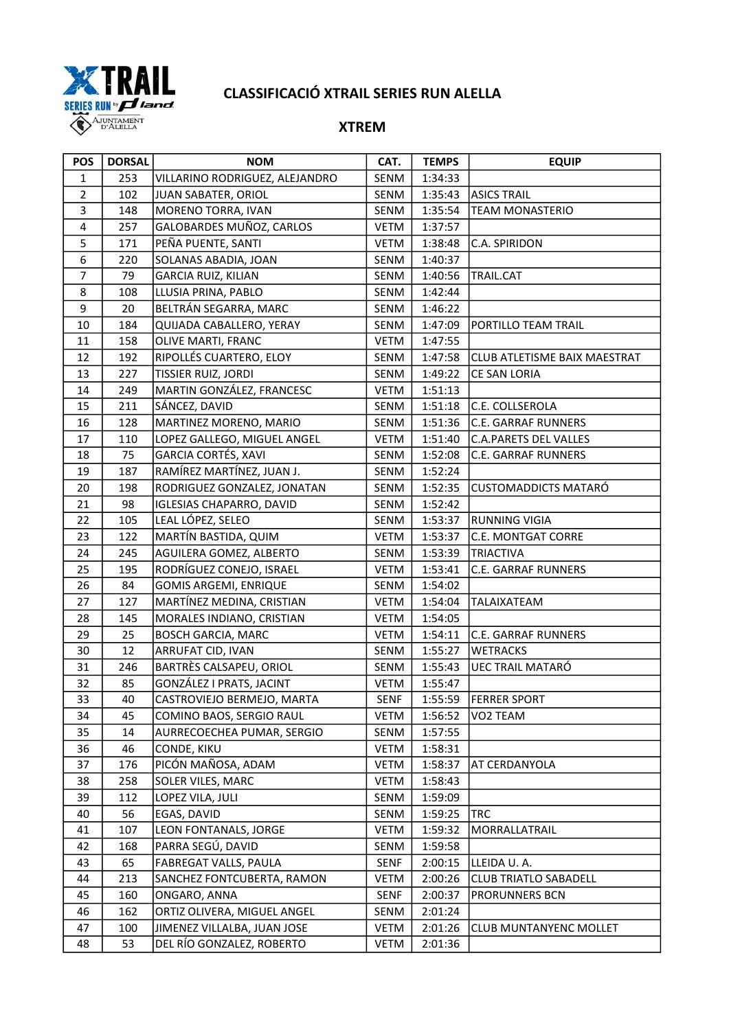

| <b>POS</b>              | <b>DORSAL</b> | <b>NOM</b>                      | CAT.        | <b>TEMPS</b> | <b>EQUIP</b>                 |
|-------------------------|---------------|---------------------------------|-------------|--------------|------------------------------|
| $\mathbf{1}$            | 253           | VILLARINO RODRIGUEZ, ALEJANDRO  | SENM        | 1:34:33      |                              |
| $\overline{2}$          | 102           | JUAN SABATER, ORIOL             | SENM        | 1:35:43      | <b>ASICS TRAIL</b>           |
| 3                       | 148           | MORENO TORRA, IVAN              | SENM        | 1:35:54      | <b>TEAM MONASTERIO</b>       |
| $\overline{\mathbf{4}}$ | 257           | GALOBARDES MUÑOZ, CARLOS        | <b>VETM</b> | 1:37:57      |                              |
| 5                       | 171           | PEÑA PUENTE, SANTI              | <b>VETM</b> | 1:38:48      | C.A. SPIRIDON                |
| 6                       | 220           | SOLANAS ABADIA, JOAN            | SENM        | 1:40:37      |                              |
| $\overline{7}$          | 79            | <b>GARCIA RUIZ, KILIAN</b>      | SENM        | 1:40:56      | TRAIL.CAT                    |
| 8                       | 108           | LLUSIA PRINA, PABLO             | SENM        | 1:42:44      |                              |
| 9                       | 20            | BELTRÁN SEGARRA, MARC           | SENM        | 1:46:22      |                              |
| $10\,$                  | 184           | QUIJADA CABALLERO, YERAY        | SENM        | 1:47:09      | PORTILLO TEAM TRAIL          |
| 11                      | 158           | OLIVE MARTI, FRANC              | <b>VETM</b> | 1:47:55      |                              |
| 12                      | 192           | RIPOLLÉS CUARTERO, ELOY         | SENM        | 1:47:58      | CLUB ATLETISME BAIX MAESTRAT |
| 13                      | 227           | TISSIER RUIZ, JORDI             | SENM        | 1:49:22      | CE SAN LORIA                 |
| 14                      | 249           | MARTIN GONZÁLEZ, FRANCESC       | <b>VETM</b> | 1:51:13      |                              |
| 15                      | 211           | SÁNCEZ, DAVID                   | SENM        | 1:51:18      | C.E. COLLSEROLA              |
| 16                      | 128           | MARTINEZ MORENO, MARIO          | SENM        | 1:51:36      | <b>C.E. GARRAF RUNNERS</b>   |
| 17                      | 110           | LOPEZ GALLEGO, MIGUEL ANGEL     | <b>VETM</b> | 1:51:40      | <b>C.A.PARETS DEL VALLES</b> |
| 18                      | 75            | GARCIA CORTÉS, XAVI             | <b>SENM</b> | 1:52:08      | C.E. GARRAF RUNNERS          |
| 19                      | 187           | RAMÍREZ MARTÍNEZ, JUAN J.       | SENM        | 1:52:24      |                              |
| 20                      | 198           | RODRIGUEZ GONZALEZ, JONATAN     | SENM        | 1:52:35      | <b>CUSTOMADDICTS MATARÓ</b>  |
| 21                      | 98            | <b>IGLESIAS CHAPARRO, DAVID</b> | SENM        | 1:52:42      |                              |
| 22                      | 105           | LEAL LÓPEZ, SELEO               | SENM        | 1:53:37      | <b>RUNNING VIGIA</b>         |
| 23                      | 122           | MARTÍN BASTIDA, QUIM            | <b>VETM</b> | 1:53:37      | C.E. MONTGAT CORRE           |
| 24                      | 245           | AGUILERA GOMEZ, ALBERTO         | SENM        | 1:53:39      | <b>TRIACTIVA</b>             |
| 25                      | 195           | RODRÍGUEZ CONEJO, ISRAEL        | <b>VETM</b> | 1:53:41      | <b>C.E. GARRAF RUNNERS</b>   |
| 26                      | 84            | <b>GOMIS ARGEMI, ENRIQUE</b>    | SENM        | 1:54:02      |                              |
| 27                      | 127           | MARTÍNEZ MEDINA, CRISTIAN       | <b>VETM</b> | 1:54:04      | TALAIXATEAM                  |
| 28                      | 145           | MORALES INDIANO, CRISTIAN       | VETM        | 1:54:05      |                              |
| 29                      | 25            | <b>BOSCH GARCIA, MARC</b>       | <b>VETM</b> | 1:54:11      | <b>C.E. GARRAF RUNNERS</b>   |
| 30                      | 12            | ARRUFAT CID, IVAN               | SENM        | 1:55:27      | <b>WETRACKS</b>              |
| 31                      | 246           | BARTRÈS CALSAPEU, ORIOL         | SENM        | 1:55:43      | UEC TRAIL MATARÓ             |
| 32                      | 85            | GONZÁLEZ I PRATS, JACINT        | <b>VETM</b> | 1:55:47      |                              |
| 33                      | 40            | CASTROVIEJO BERMEJO, MARTA      | SENF        |              | 1:55:59 FERRER SPORT         |
| 34                      | 45            | COMINO BAOS, SERGIO RAUL        | VETM        | 1:56:52      | VO2 TEAM                     |
| 35                      | 14            | AURRECOECHEA PUMAR, SERGIO      | SENM        | 1:57:55      |                              |
| 36                      | 46            | CONDE, KIKU                     | <b>VETM</b> | 1:58:31      |                              |
| 37                      | 176           | PICÓN MAÑOSA, ADAM              | VETM        | 1:58:37      | AT CERDANYOLA                |
| 38                      | 258           | SOLER VILES, MARC               | <b>VETM</b> | 1:58:43      |                              |
| 39                      | 112           | LOPEZ VILA, JULI                | SENM        | 1:59:09      |                              |
| 40                      | 56            | EGAS, DAVID                     | SENM        | 1:59:25      | <b>TRC</b>                   |
| 41                      | 107           | LEON FONTANALS, JORGE           | <b>VETM</b> | 1:59:32      | MORRALLATRAIL                |
| 42                      | 168           | PARRA SEGÚ, DAVID               | SENM        | 1:59:58      |                              |
| 43                      | 65            | FABREGAT VALLS, PAULA           | <b>SENF</b> | 2:00:15      | LLEIDA U.A.                  |
| 44                      | 213           | SANCHEZ FONTCUBERTA, RAMON      | <b>VETM</b> | 2:00:26      | <b>CLUB TRIATLO SABADELL</b> |
| 45                      | 160           | ONGARO, ANNA                    | <b>SENF</b> | 2:00:37      | PRORUNNERS BCN               |
| 46                      | 162           | ORTIZ OLIVERA, MIGUEL ANGEL     | SENM        | 2:01:24      |                              |
| 47                      | 100           | JIMENEZ VILLALBA, JUAN JOSE     | <b>VETM</b> | 2:01:26      | CLUB MUNTANYENC MOLLET       |
| 48                      | 53            | DEL RÍO GONZALEZ, ROBERTO       | <b>VETM</b> | 2:01:36      |                              |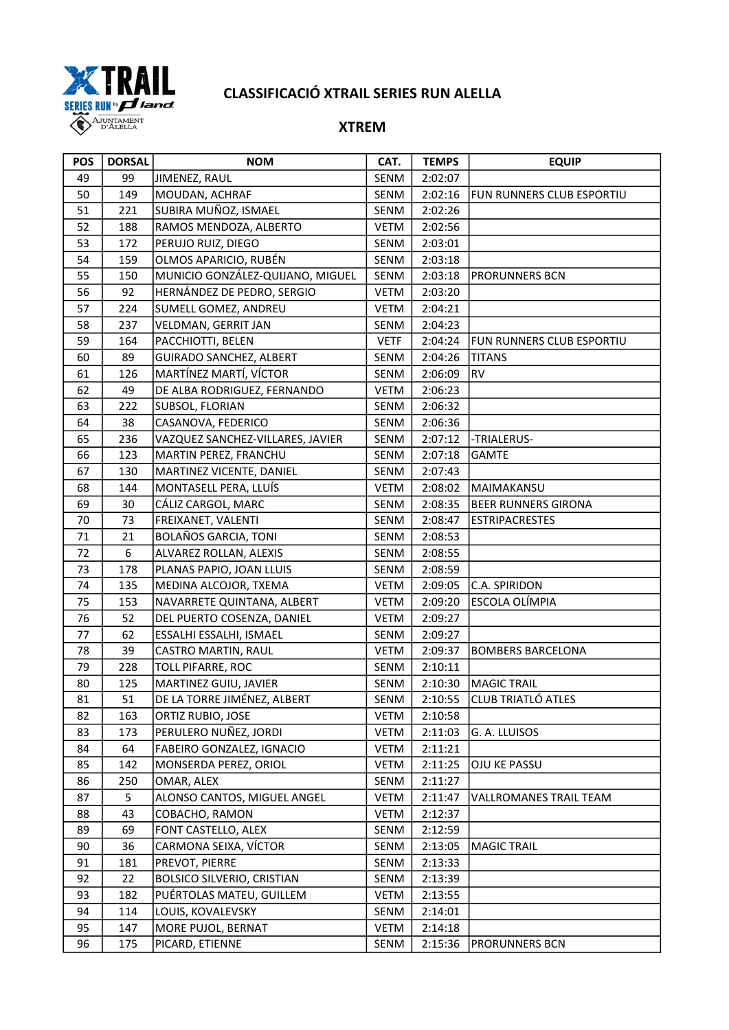

| <b>POS</b> | <b>DORSAL</b> | <b>NOM</b>                        | CAT.        | <b>TEMPS</b> | <b>EQUIP</b>               |
|------------|---------------|-----------------------------------|-------------|--------------|----------------------------|
| 49         | 99            | JIMENEZ, RAUL                     | SENM        | 2:02:07      |                            |
| 50         | 149           | MOUDAN, ACHRAF                    | SENM        | 2:02:16      | FUN RUNNERS CLUB ESPORTIU  |
| 51         | 221           | SUBIRA MUÑOZ, ISMAEL              | SENM        | 2:02:26      |                            |
| 52         | 188           | RAMOS MENDOZA, ALBERTO            | <b>VETM</b> | 2:02:56      |                            |
| 53         | 172           | PERUJO RUIZ, DIEGO                | SENM        | 2:03:01      |                            |
| 54         | 159           | OLMOS APARICIO, RUBÉN             | SENM        | 2:03:18      |                            |
| 55         | 150           | MUNICIO GONZÁLEZ-QUIJANO, MIGUEL  | SENM        | 2:03:18      | PRORUNNERS BCN             |
| 56         | 92            | HERNÁNDEZ DE PEDRO, SERGIO        | <b>VETM</b> | 2:03:20      |                            |
| 57         | 224           | SUMELL GOMEZ, ANDREU              | <b>VETM</b> | 2:04:21      |                            |
| 58         | 237           | VELDMAN, GERRIT JAN               | SENM        | 2:04:23      |                            |
| 59         | 164           | PACCHIOTTI, BELEN                 | <b>VETF</b> | 2:04:24      | FUN RUNNERS CLUB ESPORTIU  |
| 60         | 89            | <b>GUIRADO SANCHEZ, ALBERT</b>    | SENM        | 2:04:26      | <b>TITANS</b>              |
| 61         | 126           | MARTÍNEZ MARTÍ, VÍCTOR            | SENM        | 2:06:09      | <b>RV</b>                  |
| 62         | 49            | DE ALBA RODRIGUEZ, FERNANDO       | <b>VETM</b> | 2:06:23      |                            |
| 63         | 222           | SUBSOL, FLORIAN                   | SENM        | 2:06:32      |                            |
| 64         | 38            | CASANOVA, FEDERICO                | SENM        | 2:06:36      |                            |
| 65         | 236           | VAZQUEZ SANCHEZ-VILLARES, JAVIER  | SENM        | 2:07:12      | -TRIALERUS-                |
| 66         | 123           | MARTIN PEREZ, FRANCHU             | SENM        | 2:07:18      | <b>GAMTE</b>               |
| 67         | 130           | MARTINEZ VICENTE, DANIEL          | SENM        | 2:07:43      |                            |
| 68         | 144           | MONTASELL PERA, LLUÍS             | <b>VETM</b> | 2:08:02      | MAIMAKANSU                 |
| 69         | 30            | CÁLIZ CARGOL, MARC                | SENM        | 2:08:35      | <b>BEER RUNNERS GIRONA</b> |
| 70         | 73            | FREIXANET, VALENTI                | SENM        | 2:08:47      | <b>ESTRIPACRESTES</b>      |
| 71         | 21            | <b>BOLAÑOS GARCIA, TONI</b>       | SENM        | 2:08:53      |                            |
| 72         | 6             | ALVAREZ ROLLAN, ALEXIS            | SENM        | 2:08:55      |                            |
| 73         | 178           | PLANAS PAPIO, JOAN LLUIS          | SENM        | 2:08:59      |                            |
| 74         | 135           | MEDINA ALCOJOR, TXEMA             | VETM        | 2:09:05      | C.A. SPIRIDON              |
| 75         | 153           | NAVARRETE QUINTANA, ALBERT        | VETM        | 2:09:20      | ESCOLA OLÍMPIA             |
| 76         | 52            | DEL PUERTO COSENZA, DANIEL        | <b>VETM</b> | 2:09:27      |                            |
| 77         | 62            | ESSALHI ESSALHI, ISMAEL           | SENM        | 2:09:27      |                            |
| 78         | 39            | CASTRO MARTIN, RAUL               | VETM        | 2:09:37      | <b>BOMBERS BARCELONA</b>   |
| 79         | 228           | <b>TOLL PIFARRE, ROC</b>          | SENM        | 2:10:11      |                            |
| 80         | 125           | MARTINEZ GUIU, JAVIER             | SENM        | 2:10:30      | MAGIC TRAIL                |
| 81         | 51            | DE LA TORRE JIMÉNEZ, ALBERT       | SENM        |              | 2:10:55 CLUB TRIATLÓ ATLES |
| 82         | 163           | ORTIZ RUBIO, JOSE                 | VETM        | 2:10:58      |                            |
| 83         | 173           | PERULERO NUÑEZ, JORDI             | VETM        | 2:11:03      | G. A. LLUISOS              |
| 84         | 64            | FABEIRO GONZALEZ, IGNACIO         | <b>VETM</b> | 2:11:21      |                            |
| 85         | 142           | MONSERDA PEREZ, ORIOL             | <b>VETM</b> | 2:11:25      | OJU KE PASSU               |
| 86         | 250           | OMAR, ALEX                        | SENM        | 2:11:27      |                            |
| 87         | 5             | ALONSO CANTOS, MIGUEL ANGEL       | VETM        | 2:11:47      | VALLROMANES TRAIL TEAM     |
| 88         | 43            | COBACHO, RAMON                    | <b>VETM</b> | 2:12:37      |                            |
| 89         | 69            | FONT CASTELLO, ALEX               | SENM        | 2:12:59      |                            |
| 90         | 36            | CARMONA SEIXA, VÍCTOR             | SENM        | 2:13:05      | <b>MAGIC TRAIL</b>         |
| 91         | 181           | PREVOT, PIERRE                    | SENM        | 2:13:33      |                            |
| 92         | 22            | <b>BOLSICO SILVERIO, CRISTIAN</b> | SENM        | 2:13:39      |                            |
| 93         | 182           | PUÉRTOLAS MATEU, GUILLEM          | VETM        | 2:13:55      |                            |
| 94         | 114           | LOUIS, KOVALEVSKY                 | SENM        | 2:14:01      |                            |
| 95         | 147           | MORE PUJOL, BERNAT                | <b>VETM</b> | 2:14:18      |                            |
| 96         | 175           | PICARD, ETIENNE                   | SENM        | 2:15:36      | PRORUNNERS BCN             |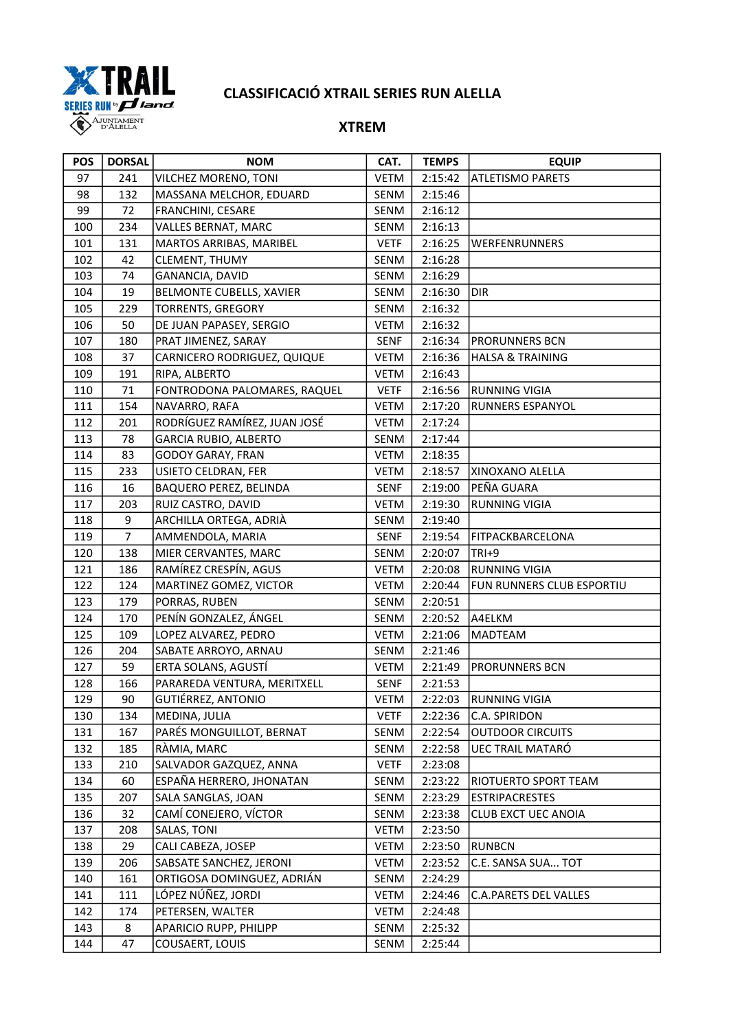

| <b>POS</b> | <b>DORSAL</b>  | NOM                          | CAT.        | <b>TEMPS</b> | <b>EQUIP</b>                 |
|------------|----------------|------------------------------|-------------|--------------|------------------------------|
| 97         | 241            | VILCHEZ MORENO, TONI         | <b>VETM</b> | 2:15:42      | <b>ATLETISMO PARETS</b>      |
| 98         | 132            | MASSANA MELCHOR, EDUARD      | SENM        | 2:15:46      |                              |
| 99         | 72             | FRANCHINI, CESARE            | SENM        | 2:16:12      |                              |
| 100        | 234            | VALLES BERNAT, MARC          | SENM        | 2:16:13      |                              |
| 101        | 131            | MARTOS ARRIBAS, MARIBEL      | <b>VETF</b> | 2:16:25      | WERFENRUNNERS                |
| 102        | 42             | CLEMENT, THUMY               | SENM        | 2:16:28      |                              |
| 103        | 74             | GANANCIA, DAVID              | SENM        | 2:16:29      |                              |
| 104        | 19             | BELMONTE CUBELLS, XAVIER     | SENM        | 2:16:30      | <b>DIR</b>                   |
| 105        | 229            | <b>TORRENTS, GREGORY</b>     | SENM        | 2:16:32      |                              |
| 106        | 50             | DE JUAN PAPASEY, SERGIO      | VETM        | 2:16:32      |                              |
| 107        | 180            | PRAT JIMENEZ, SARAY          | <b>SENF</b> | 2:16:34      | PRORUNNERS BCN               |
| 108        | 37             | CARNICERO RODRIGUEZ, QUIQUE  | VETM        | 2:16:36      | <b>HALSA &amp; TRAINING</b>  |
| 109        | 191            | RIPA, ALBERTO                | VETM        | 2:16:43      |                              |
| 110        | 71             | FONTRODONA PALOMARES, RAQUEL | <b>VETF</b> | 2:16:56      | <b>RUNNING VIGIA</b>         |
| 111        | 154            | NAVARRO, RAFA                | VETM        | 2:17:20      | RUNNERS ESPANYOL             |
| 112        | 201            | RODRÍGUEZ RAMÍREZ, JUAN JOSÉ | VETM        | 2:17:24      |                              |
| 113        | 78             | <b>GARCIA RUBIO, ALBERTO</b> | SENM        | 2:17:44      |                              |
| 114        | 83             | <b>GODOY GARAY, FRAN</b>     | <b>VETM</b> | 2:18:35      |                              |
| 115        | 233            | USIETO CELDRAN, FER          | <b>VETM</b> | 2:18:57      | XINOXANO ALELLA              |
| 116        | 16             | BAQUERO PEREZ, BELINDA       | <b>SENF</b> | 2:19:00      | PEÑA GUARA                   |
| 117        | 203            | RUIZ CASTRO, DAVID           | VETM        | 2:19:30      | <b>RUNNING VIGIA</b>         |
| 118        | 9              | ARCHILLA ORTEGA, ADRIÀ       | SENM        | 2:19:40      |                              |
| 119        | $\overline{7}$ | AMMENDOLA, MARIA             | <b>SENF</b> | 2:19:54      | FITPACKBARCELONA             |
| 120        | 138            | MIER CERVANTES, MARC         | SENM        | 2:20:07      | $TRI+9$                      |
| 121        | 186            | RAMÍREZ CRESPÍN, AGUS        | <b>VETM</b> | 2:20:08      | <b>RUNNING VIGIA</b>         |
| 122        | 124            | MARTINEZ GOMEZ, VICTOR       | VETM        | 2:20:44      | FUN RUNNERS CLUB ESPORTIU    |
| 123        | 179            | PORRAS, RUBEN                | SENM        | 2:20:51      |                              |
| 124        | 170            | PENÍN GONZALEZ, ÁNGEL        | SENM        | 2:20:52      | A4ELKM                       |
| 125        | 109            | LOPEZ ALVAREZ, PEDRO         | <b>VETM</b> | 2:21:06      | <b>MADTEAM</b>               |
| 126        | 204            | SABATE ARROYO, ARNAU         | SENM        | 2:21:46      |                              |
| 127        | 59             | ERTA SOLANS, AGUSTÍ          | VETM        | 2:21:49      | PRORUNNERS BCN               |
| 128        | 166            | PARAREDA VENTURA, MERITXELL  | <b>SENF</b> | 2:21:53      |                              |
| 129        | 90             | GUTIÉRREZ, ANTONIO           | VETM        | 2:22:03      | <b>RUNNING VIGIA</b>         |
| 130        | 134            | MEDINA, JULIA                | <b>VETF</b> | 2:22:36      | C.A. SPIRIDON                |
| 131        | 167            | PARÉS MONGUILLOT, BERNAT     | SENM        | 2:22:54      | <b>OUTDOOR CIRCUITS</b>      |
| 132        | 185            | RÀMIA, MARC                  | SENM        | 2:22:58      | UEC TRAIL MATARÓ             |
| 133        | 210            | SALVADOR GAZQUEZ, ANNA       | <b>VETF</b> | 2:23:08      |                              |
| 134        | 60             | ESPAÑA HERRERO, JHONATAN     | SENM        | 2:23:22      | RIOTUERTO SPORT TEAM         |
| 135        | 207            | SALA SANGLAS, JOAN           | SENM        | 2:23:29      | <b>ESTRIPACRESTES</b>        |
| 136        | 32             | CAMÍ CONEJERO, VÍCTOR        | SENM        | 2:23:38      | CLUB EXCT UEC ANOIA          |
| 137        | 208            | SALAS, TONI                  | VETM        | 2:23:50      |                              |
| 138        | 29             | CALI CABEZA, JOSEP           | <b>VETM</b> | 2:23:50      | <b>RUNBCN</b>                |
| 139        | 206            | SABSATE SANCHEZ, JERONI      | <b>VETM</b> | 2:23:52      | C.E. SANSA SUA TOT           |
| 140        | 161            | ORTIGOSA DOMINGUEZ, ADRIÁN   | SENM        | 2:24:29      |                              |
| 141        | 111            | LÓPEZ NÚÑEZ, JORDI           | <b>VETM</b> | 2:24:46      | <b>C.A.PARETS DEL VALLES</b> |
| 142        | 174            | PETERSEN, WALTER             | <b>VETM</b> | 2:24:48      |                              |
| 143        | 8              | APARICIO RUPP, PHILIPP       | SENM        | 2:25:32      |                              |
| 144        | 47             | COUSAERT, LOUIS              | SENM        | 2:25:44      |                              |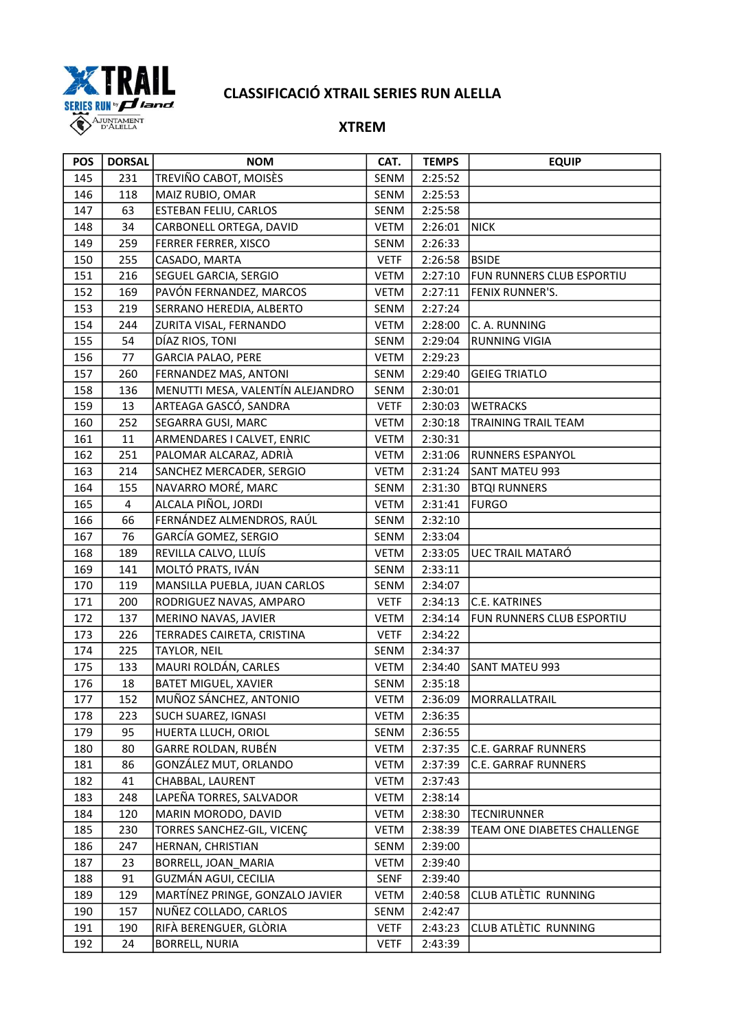

| <b>POS</b> | <b>DORSAL</b> | <b>NOM</b>                       | CAT.        | <b>TEMPS</b> | <b>EQUIP</b>                |
|------------|---------------|----------------------------------|-------------|--------------|-----------------------------|
| 145        | 231           | TREVIÑO CABOT, MOISÈS            | SENM        | 2:25:52      |                             |
| 146        | 118           | MAIZ RUBIO, OMAR                 | SENM        | 2:25:53      |                             |
| 147        | 63            | ESTEBAN FELIU, CARLOS            | SENM        | 2:25:58      |                             |
| 148        | 34            | CARBONELL ORTEGA, DAVID          | <b>VETM</b> | 2:26:01      | <b>NICK</b>                 |
| 149        | 259           | FERRER FERRER, XISCO             | SENM        | 2:26:33      |                             |
| 150        | 255           | CASADO, MARTA                    | <b>VETF</b> | 2:26:58      | <b>BSIDE</b>                |
| 151        | 216           | SEGUEL GARCIA, SERGIO            | <b>VETM</b> | 2:27:10      | FUN RUNNERS CLUB ESPORTIU   |
| 152        | 169           | PAVÓN FERNANDEZ, MARCOS          | <b>VETM</b> | 2:27:11      | FENIX RUNNER'S.             |
| 153        | 219           | SERRANO HEREDIA, ALBERTO         | SENM        | 2:27:24      |                             |
| 154        | 244           | ZURITA VISAL, FERNANDO           | <b>VETM</b> | 2:28:00      | C. A. RUNNING               |
| 155        | 54            | DÍAZ RIOS, TONI                  | SENM        | 2:29:04      | <b>RUNNING VIGIA</b>        |
| 156        | 77            | <b>GARCIA PALAO, PERE</b>        | <b>VETM</b> | 2:29:23      |                             |
| 157        | 260           | FERNANDEZ MAS, ANTONI            | SENM        | 2:29:40      | <b>GEIEG TRIATLO</b>        |
| 158        | 136           | MENUTTI MESA, VALENTÍN ALEJANDRO | SENM        | 2:30:01      |                             |
| 159        | 13            | ARTEAGA GASCÓ, SANDRA            | <b>VETF</b> | 2:30:03      | <b>WETRACKS</b>             |
| 160        | 252           | SEGARRA GUSI, MARC               | <b>VETM</b> | 2:30:18      | TRAINING TRAIL TEAM         |
| 161        | 11            | ARMENDARES I CALVET, ENRIC       | VETM        | 2:30:31      |                             |
| 162        | 251           | PALOMAR ALCARAZ, ADRIÀ           | VETM        | 2:31:06      | RUNNERS ESPANYOL            |
| 163        | 214           | SANCHEZ MERCADER, SERGIO         | VETM        | 2:31:24      | SANT MATEU 993              |
| 164        | 155           | NAVARRO MORÉ, MARC               | SENM        | 2:31:30      | <b>BTQI RUNNERS</b>         |
| 165        | 4             | ALCALA PIÑOL, JORDI              | <b>VETM</b> | 2:31:41      | <b>FURGO</b>                |
| 166        | 66            | FERNÁNDEZ ALMENDROS, RAÚL        | SENM        | 2:32:10      |                             |
| 167        | 76            | GARCÍA GOMEZ, SERGIO             | SENM        | 2:33:04      |                             |
| 168        | 189           | REVILLA CALVO, LLUÍS             | <b>VETM</b> | 2:33:05      | <b>UEC TRAIL MATARÓ</b>     |
| 169        | 141           | MOLTÓ PRATS, IVÁN                | SENM        | 2:33:11      |                             |
| 170        | 119           | MANSILLA PUEBLA, JUAN CARLOS     | SENM        | 2:34:07      |                             |
| 171        | 200           | RODRIGUEZ NAVAS, AMPARO          | <b>VETF</b> | 2:34:13      | C.E. KATRINES               |
| 172        | 137           | MERINO NAVAS, JAVIER             | VETM        | 2:34:14      | FUN RUNNERS CLUB ESPORTIU   |
| 173        | 226           | TERRADES CAIRETA, CRISTINA       | <b>VETF</b> | 2:34:22      |                             |
| 174        | 225           | TAYLOR, NEIL                     | SENM        | 2:34:37      |                             |
| 175        | 133           | MAURI ROLDÁN, CARLES             | <b>VETM</b> | 2:34:40      | <b>SANT MATEU 993</b>       |
| 176        | 18            | <b>BATET MIGUEL, XAVIER</b>      | SENM        | 2:35:18      |                             |
| 177        | 152           | MUÑOZ SÁNCHEZ, ANTONIO           | VETM        | 2:36:09      | MORRALLATRAIL               |
| 178        | 223           | <b>SUCH SUAREZ, IGNASI</b>       | VETM        | 2:36:35      |                             |
| 179        | 95            | HUERTA LLUCH, ORIOL              | SENM        | 2:36:55      |                             |
| 180        | 80            | GARRE ROLDAN, RUBÉN              | <b>VETM</b> | 2:37:35      | C.E. GARRAF RUNNERS         |
| 181        | 86            | GONZÁLEZ MUT, ORLANDO            | <b>VETM</b> | 2:37:39      | <b>C.E. GARRAF RUNNERS</b>  |
| 182        | 41            | CHABBAL, LAURENT                 | <b>VETM</b> | 2:37:43      |                             |
| 183        | 248           | LAPEÑA TORRES, SALVADOR          | <b>VETM</b> | 2:38:14      |                             |
| 184        | 120           | MARIN MORODO, DAVID              | <b>VETM</b> | 2:38:30      | <b>TECNIRUNNER</b>          |
| 185        | 230           | TORRES SANCHEZ-GIL, VICENÇ       | <b>VETM</b> | 2:38:39      | TEAM ONE DIABETES CHALLENGE |
| 186        | 247           | HERNAN, CHRISTIAN                | SENM        | 2:39:00      |                             |
| 187        | 23            | BORRELL, JOAN_MARIA              | VETM        | 2:39:40      |                             |
| 188        | 91            | GUZMÁN AGUI, CECILIA             | <b>SENF</b> | 2:39:40      |                             |
| 189        | 129           | MARTÍNEZ PRINGE, GONZALO JAVIER  | VETM        | 2:40:58      | CLUB ATLÈTIC RUNNING        |
| 190        | 157           | NUÑEZ COLLADO, CARLOS            | SENM        | 2:42:47      |                             |
| 191        | 190           | RIFÀ BERENGUER, GLÒRIA           | <b>VETF</b> | 2:43:23      | CLUB ATLÈTIC RUNNING        |
| 192        | 24            | <b>BORRELL, NURIA</b>            | <b>VETF</b> | 2:43:39      |                             |